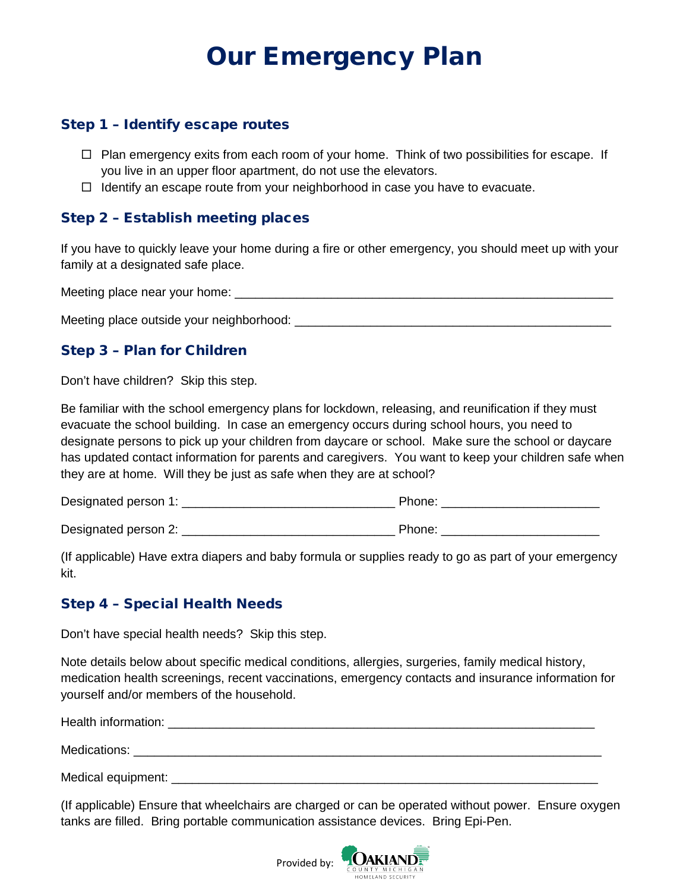# Our Emergency Plan

## Step 1 – Identify escape routes

- $\Box$  Plan emergency exits from each room of your home. Think of two possibilities for escape. If you live in an upper floor apartment, do not use the elevators.
- $\Box$  Identify an escape route from your neighborhood in case you have to evacuate.

# Step 2 – Establish meeting places

If you have to quickly leave your home during a fire or other emergency, you should meet up with your family at a designated safe place.

Meeting place near your home:  $\Box$ 

Meeting place outside your neighborhood:  $\blacksquare$ 

# Step 3 – Plan for Children

Don't have children? Skip this step.

Be familiar with the school emergency plans for lockdown, releasing, and reunification if they must evacuate the school building. In case an emergency occurs during school hours, you need to designate persons to pick up your children from daycare or school. Make sure the school or daycare has updated contact information for parents and caregivers. You want to keep your children safe when they are at home. Will they be just as safe when they are at school?

Designated person 1: \_\_\_\_\_\_\_\_\_\_\_\_\_\_\_\_\_\_\_\_\_\_\_\_\_\_\_\_\_\_\_ Phone: \_\_\_\_\_\_\_\_\_\_\_\_\_\_\_\_\_\_\_\_\_\_\_

Designated person 2: \_\_\_\_\_\_\_\_\_\_\_\_\_\_\_\_\_\_\_\_\_\_\_\_\_\_\_\_\_\_\_ Phone: \_\_\_\_\_\_\_\_\_\_\_\_\_\_\_\_\_\_\_\_\_\_\_

(If applicable) Have extra diapers and baby formula or supplies ready to go as part of your emergency kit.

# Step 4 – Special Health Needs

Don't have special health needs? Skip this step.

Note details below about specific medical conditions, allergies, surgeries, family medical history, medication health screenings, recent vaccinations, emergency contacts and insurance information for yourself and/or members of the household.

Health information: **with the example of the example of the example of the example of the example of the example of the example of the example of the example of the example of the example of the example of the example of t** 

Medications: \_\_\_\_\_\_\_\_\_\_\_\_\_\_\_\_\_\_\_\_\_\_\_\_\_\_\_\_\_\_\_\_\_\_\_\_\_\_\_\_\_\_\_\_\_\_\_\_\_\_\_\_\_\_\_\_\_\_\_\_\_\_\_\_\_\_\_\_

Medical equipment: \_\_\_\_\_\_\_\_\_\_\_\_\_\_\_\_\_\_\_\_\_\_\_\_\_\_\_\_\_\_\_\_\_\_\_\_\_\_\_\_\_\_\_\_\_\_\_\_\_\_\_\_\_\_\_\_\_\_\_\_\_\_

(If applicable) Ensure that wheelchairs are charged or can be operated without power. Ensure oxygen tanks are filled. Bring portable communication assistance devices. Bring Epi-Pen.

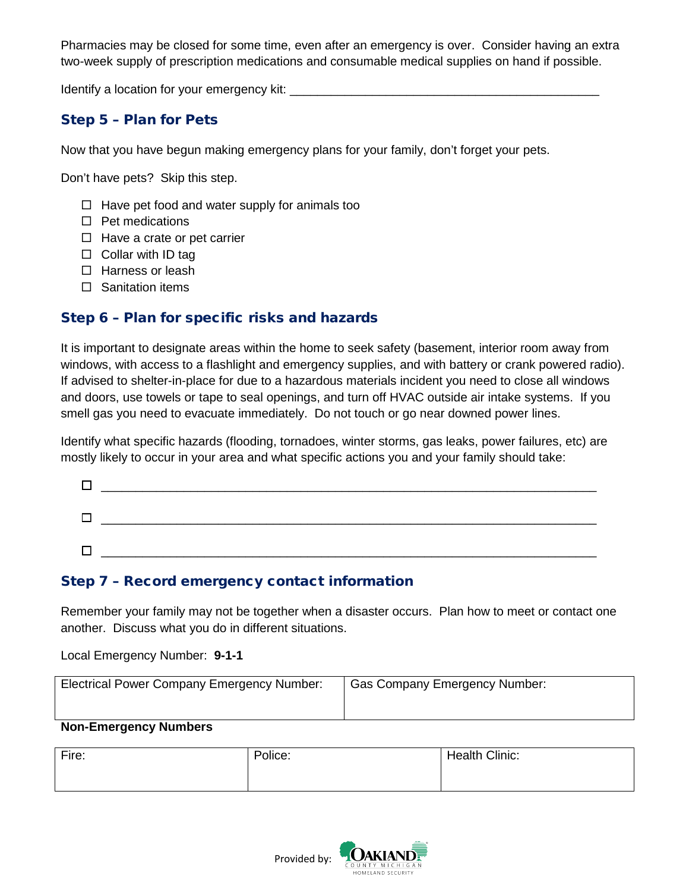Pharmacies may be closed for some time, even after an emergency is over. Consider having an extra two-week supply of prescription medications and consumable medical supplies on hand if possible.

Identify a location for your emergency kit: \_\_\_\_\_\_\_\_\_\_\_\_\_\_\_\_\_\_\_\_\_\_\_\_\_\_\_\_\_\_\_\_\_\_\_\_\_\_\_\_\_\_\_\_\_

# Step 5 – Plan for Pets

Now that you have begun making emergency plans for your family, don't forget your pets.

Don't have pets? Skip this step.

- $\Box$  Have pet food and water supply for animals too
- $\Box$  Pet medications
- $\Box$  Have a crate or pet carrier
- $\Box$  Collar with ID tag
- $\square$  Harness or leash
- $\square$  Sanitation items

## Step 6 – Plan for specific risks and hazards

It is important to designate areas within the home to seek safety (basement, interior room away from windows, with access to a flashlight and emergency supplies, and with battery or crank powered radio). If advised to shelter-in-place for due to a hazardous materials incident you need to close all windows and doors, use towels or tape to seal openings, and turn off HVAC outside air intake systems. If you smell gas you need to evacuate immediately. Do not touch or go near downed power lines.

Identify what specific hazards (flooding, tornadoes, winter storms, gas leaks, power failures, etc) are mostly likely to occur in your area and what specific actions you and your family should take:

| Γ      |  |  |
|--------|--|--|
|        |  |  |
| $\Box$ |  |  |
| Г      |  |  |

# Step 7 – Record emergency contact information

Remember your family may not be together when a disaster occurs. Plan how to meet or contact one another. Discuss what you do in different situations.

Local Emergency Number: **9-1-1** 

| <b>Electrical Power Company Emergency Number:</b> | Gas Company Emergency Number: |
|---------------------------------------------------|-------------------------------|
|                                                   |                               |
| Non-Emergency Numbers                             |                               |

#### **Non-Emergency Numbers**

| Fire: | Police: | Health Clinic: |
|-------|---------|----------------|
|       |         |                |

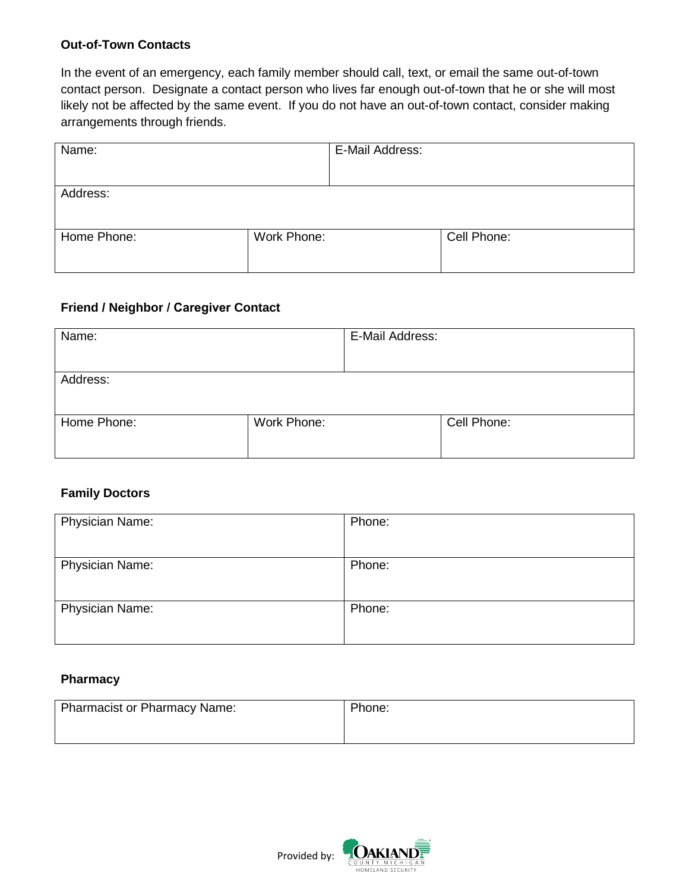#### **Out-of-Town Contacts**

In the event of an emergency, each family member should call, text, or email the same out-of-town contact person. Designate a contact person who lives far enough out-of-town that he or she will most likely not be affected by the same event. If you do not have an out-of-town contact, consider making arrangements through friends.

| Name:       |             | E-Mail Address: |             |
|-------------|-------------|-----------------|-------------|
|             |             |                 |             |
| Address:    |             |                 |             |
|             |             |                 |             |
| Home Phone: | Work Phone: |                 | Cell Phone: |
|             |             |                 |             |

## **Friend / Neighbor / Caregiver Contact**

| Name:       |             | E-Mail Address: |             |
|-------------|-------------|-----------------|-------------|
| Address:    |             |                 |             |
| Home Phone: | Work Phone: |                 | Cell Phone: |

## **Family Doctors**

| <b>Physician Name:</b> | Phone: |
|------------------------|--------|
| Physician Name:        | Phone: |
| Physician Name:        | Phone: |

#### **Pharmacy**

| Pharmacist or Pharmacy Name: | Phone: |
|------------------------------|--------|
|                              |        |